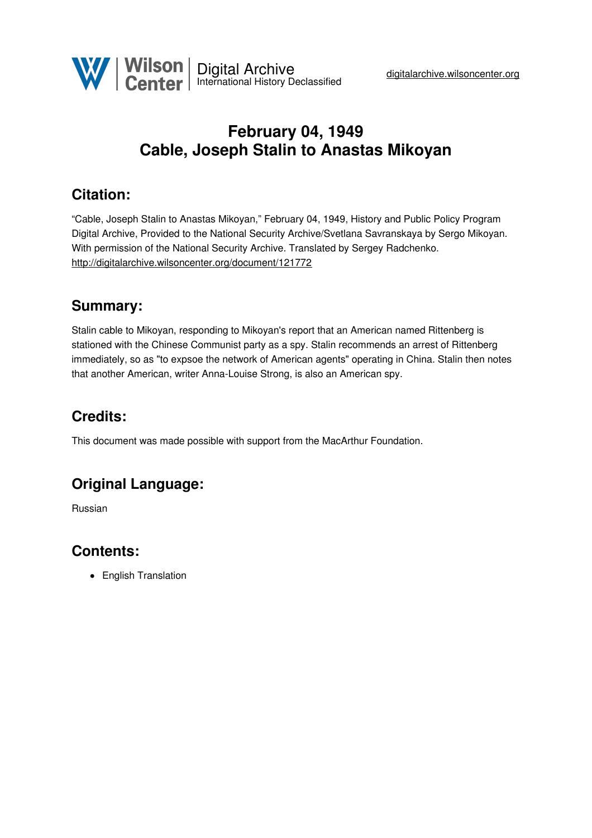## **February 04, 1949 Cable, Joseph Stalin to Anastas Mikoyan**

#### **Citation:**

"Cable, Joseph Stalin to Anastas Mikoyan," February 04, 1949, History and Public Policy Program Digital Archive, Provided to the National Security Archive/Svetlana Savranskaya by Sergo Mikoyan. With permission of the National Security Archive. Translated by Sergey Radchenko. <http://digitalarchive.wilsoncenter.org/document/121772>

#### **Summary:**

Stalin cable to Mikoyan, responding to Mikoyan's report that an American named Rittenberg is stationed with the Chinese Communist party as a spy. Stalin recommends an arrest of Rittenberg immediately, so as "to expsoe the network of American agents" operating in China. Stalin then notes that another American, writer Anna-Louise Strong, is also an American spy.

### **Credits:**

This document was made possible with support from the MacArthur Foundation.

# **Original Language:**

Russian

#### **Contents:**

• English Translation